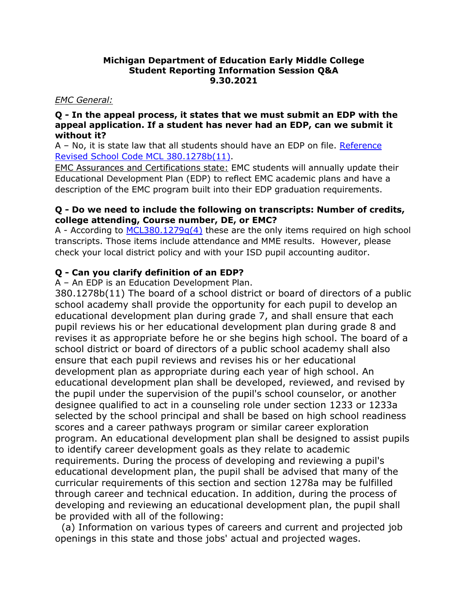#### **Michigan Department of Education Early Middle College Student Reporting Information Session Q&A 9.30.2021**

#### *EMC General:*

#### **Q - In the appeal process, it states that we must submit an EDP with the appeal application. If a student has never had an EDP, can we submit it without it?**

A – No, it is state law that all students should have an EDP on file. Reference [Revised School Code MCL 380.1278b\(11\).](http://legislature.mi.gov/doc.aspx?mcl-380-1278b)

EMC Assurances and Certifications state: EMC students will annually update their Educational Development Plan (EDP) to reflect EMC academic plans and have a description of the EMC program built into their EDP graduation requirements.

#### **Q - Do we need to include the following on transcripts: Number of credits, college attending, Course number, DE, or EMC?**

A - According to [MCL380.1279g\(4\)](https://gcc02.safelinks.protection.outlook.com/?url=http%3A%2F%2Fwww.legislature.mi.gov%2F(S(tghaz4iv5syhobwh1ll0bskr))%2Fmileg.aspx%3Fpage%3Dgetobject%26objectname%3Dmcl-380-1279g%26query%3Don%26highlight%3Dtranscript&data=04%7C01%7CStoverS%40michigan.gov%7Cff87252b60174358034408d9843c449c%7Cd5fb7087377742ad966a892ef47225d1%7C0%7C0%7C637686216638825986%7CUnknown%7CTWFpbGZsb3d8eyJWIjoiMC4wLjAwMDAiLCJQIjoiV2luMzIiLCJBTiI6Ik1haWwiLCJXVCI6Mn0%3D%7C1000&sdata=TZSRxC3RxwT5t0WfyFJx5%2B03D%2FD4J4keJYPdUdFPcp4%3D&reserved=0) these are the only items required on high school transcripts. Those items include attendance and MME results. However, please check your local district policy and with your ISD pupil accounting auditor.

## **Q - Can you clarify definition of an EDP?**

A – An EDP is an Education Development Plan.

380.1278b(11) The board of a school district or board of directors of a public school academy shall provide the opportunity for each pupil to develop an educational development plan during grade 7, and shall ensure that each pupil reviews his or her educational development plan during grade 8 and revises it as appropriate before he or she begins high school. The board of a school district or board of directors of a public school academy shall also ensure that each pupil reviews and revises his or her educational development plan as appropriate during each year of high school. An educational development plan shall be developed, reviewed, and revised by the pupil under the supervision of the pupil's school counselor, or another designee qualified to act in a counseling role under section 1233 or 1233a selected by the school principal and shall be based on high school readiness scores and a career pathways program or similar career exploration program. An educational development plan shall be designed to assist pupils to identify career development goals as they relate to academic requirements. During the process of developing and reviewing a pupil's educational development plan, the pupil shall be advised that many of the curricular requirements of this section and section 1278a may be fulfilled through career and technical education. In addition, during the process of developing and reviewing an educational development plan, the pupil shall be provided with all of the following:

 (a) Information on various types of careers and current and projected job openings in this state and those jobs' actual and projected wages.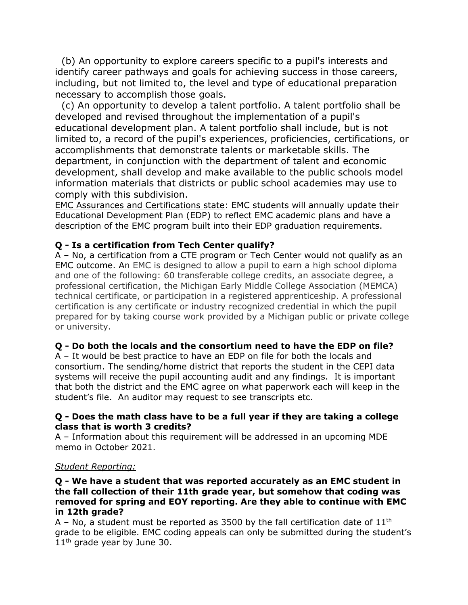(b) An opportunity to explore careers specific to a pupil's interests and identify career pathways and goals for achieving success in those careers, including, but not limited to, the level and type of educational preparation necessary to accomplish those goals.

 (c) An opportunity to develop a talent portfolio. A talent portfolio shall be developed and revised throughout the implementation of a pupil's educational development plan. A talent portfolio shall include, but is not limited to, a record of the pupil's experiences, proficiencies, certifications, or accomplishments that demonstrate talents or marketable skills. The department, in conjunction with the department of talent and economic development, shall develop and make available to the public schools model information materials that districts or public school academies may use to comply with this subdivision.

EMC Assurances and Certifications state: EMC students will annually update their Educational Development Plan (EDP) to reflect EMC academic plans and have a description of the EMC program built into their EDP graduation requirements.

## **Q - Is a certification from Tech Center qualify?**

A – No, a certification from a CTE program or Tech Center would not qualify as an EMC outcome. An EMC is designed to allow a pupil to earn a high school diploma and one of the following: 60 transferable college credits, an associate degree, a professional certification, the Michigan Early Middle College Association (MEMCA) technical certificate, or participation in a registered apprenticeship. A professional certification is any certificate or industry recognized credential in which the pupil prepared for by taking course work provided by a Michigan public or private college or university.

## **Q - Do both the locals and the consortium need to have the EDP on file?**

A – It would be best practice to have an EDP on file for both the locals and consortium. The sending/home district that reports the student in the CEPI data systems will receive the pupil accounting audit and any findings. It is important that both the district and the EMC agree on what paperwork each will keep in the student's file. An auditor may request to see transcripts etc.

#### **Q - Does the math class have to be a full year if they are taking a college class that is worth 3 credits?**

A – Information about this requirement will be addressed in an upcoming MDE memo in October 2021.

## *Student Reporting:*

#### **Q - We have a student that was reported accurately as an EMC student in the fall collection of their 11th grade year, but somehow that coding was removed for spring and EOY reporting. Are they able to continue with EMC in 12th grade?**

A – No, a student must be reported as 3500 by the fall certification date of  $11<sup>th</sup>$ grade to be eligible. EMC coding appeals can only be submitted during the student's  $11<sup>th</sup>$  grade year by June 30.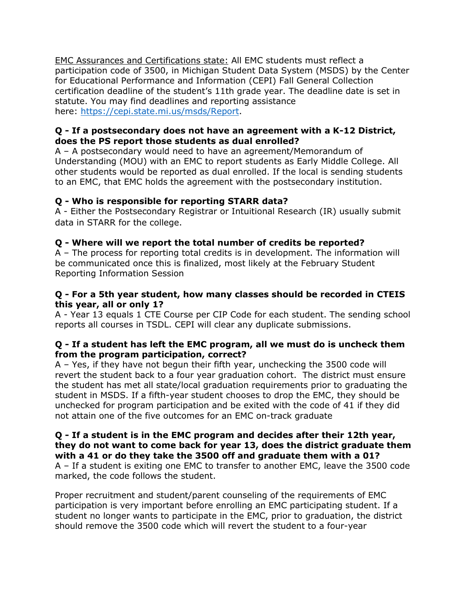EMC Assurances and Certifications state: All EMC students must reflect a participation code of 3500, in Michigan Student Data System (MSDS) by the Center for Educational Performance and Information (CEPI) Fall General Collection certification deadline of the student's 11th grade year. The deadline date is set in statute. You may find deadlines and reporting assistance here: [https://cepi.state.mi.us/msds/Report.](https://cepi.state.mi.us/msds/)

## **Q - If a postsecondary does not have an agreement with a K-12 District, does the PS report those students as dual enrolled?**

A – A postsecondary would need to have an agreement/Memorandum of Understanding (MOU) with an EMC to report students as Early Middle College. All other students would be reported as dual enrolled. If the local is sending students to an EMC, that EMC holds the agreement with the postsecondary institution.

## **Q - Who is responsible for reporting STARR data?**

A - Either the Postsecondary Registrar or Intuitional Research (IR) usually submit data in STARR for the college.

## **Q - Where will we report the total number of credits be reported?**

A – The process for reporting total credits is in development. The information will be communicated once this is finalized, most likely at the February Student Reporting Information Session

## **Q - For a 5th year student, how many classes should be recorded in CTEIS this year, all or only 1?**

A - Year 13 equals 1 CTE Course per CIP Code for each student. The sending school reports all courses in TSDL. CEPI will clear any duplicate submissions.

## **Q - If a student has left the EMC program, all we must do is uncheck them from the program participation, correct?**

A – Yes, if they have not begun their fifth year, unchecking the 3500 code will revert the student back to a four year graduation cohort. The district must ensure the student has met all state/local graduation requirements prior to graduating the student in MSDS. If a fifth-year student chooses to drop the EMC, they should be unchecked for program participation and be exited with the code of 41 if they did not attain one of the five outcomes for an EMC on-track graduate

**Q - If a student is in the EMC program and decides after their 12th year, they do not want to come back for year 13, does the district graduate them with a 41 or do they take the 3500 off and graduate them with a 01?** A – If a student is exiting one EMC to transfer to another EMC, leave the 3500 code marked, the code follows the student.

Proper recruitment and student/parent counseling of the requirements of EMC participation is very important before enrolling an EMC participating student. If a student no longer wants to participate in the EMC, prior to graduation, the district should remove the 3500 code which will revert the student to a four-year